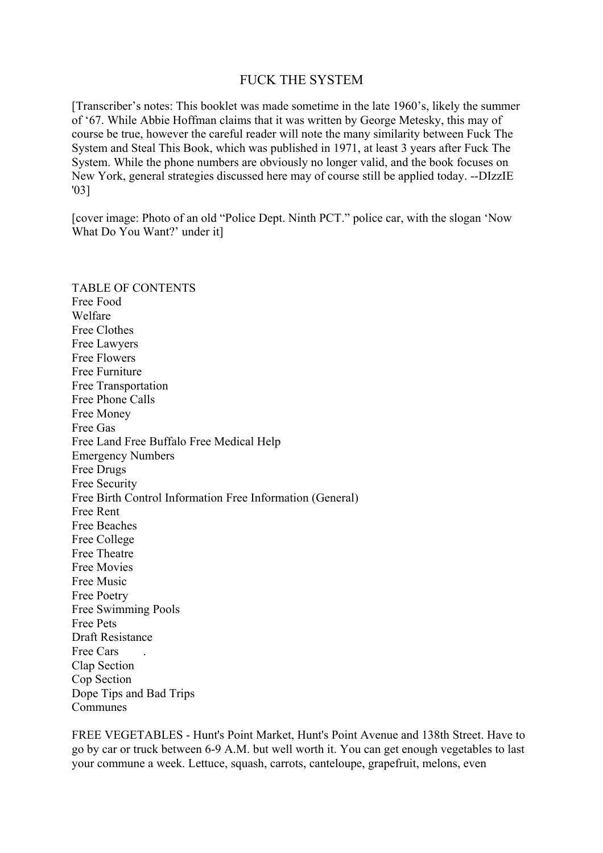# FUCK THE SYSTEM

[Transcriber's notes: This booklet was made sometime in the late 1960's, likely the summer of '67. While Abbie Hoffman claims that it was written by George Metesky, this may of course be true, however the careful reader will note the many similarity between Fuck The System and Steal This Book, which was published in 1971, at least 3 years after Fuck The System. While the phone numbers are obviously no longer valid, and the book focuses on New York, general strategies discussed here may of course still be applied today. --DIzzIE '03]

[cover image: Photo of an old "Police Dept. Ninth PCT." police car, with the slogan 'Now What Do You Want?' under it]

TABLE OF CONTENTS Free Food Welfare Free Clothes Free Lawyers Free Flowers Free Furniture Free Transportation Free Phone Calls Free Money Free Gas Free Land Free Buffalo Free Medical Help Emergency Numbers Free Drugs Free Security Free Birth Control Information Free Information (General) Free Rent Free Beaches Free College Free Theatre Free Movies Free Music Free Poetry Free Swimming Pools Free Pets Draft Resistance Free Cars . Clap Section Cop Section Dope Tips and Bad Trips Communes

FREE VEGETABLES - Hunt's Point Market, Hunt's Point Avenue and 138th Street. Have to go by car or truck between 6-9 A.M. but well worth it. You can get enough vegetables to last your commune a week. Lettuce, squash, carrots, canteloupe, grapefruit, melons, even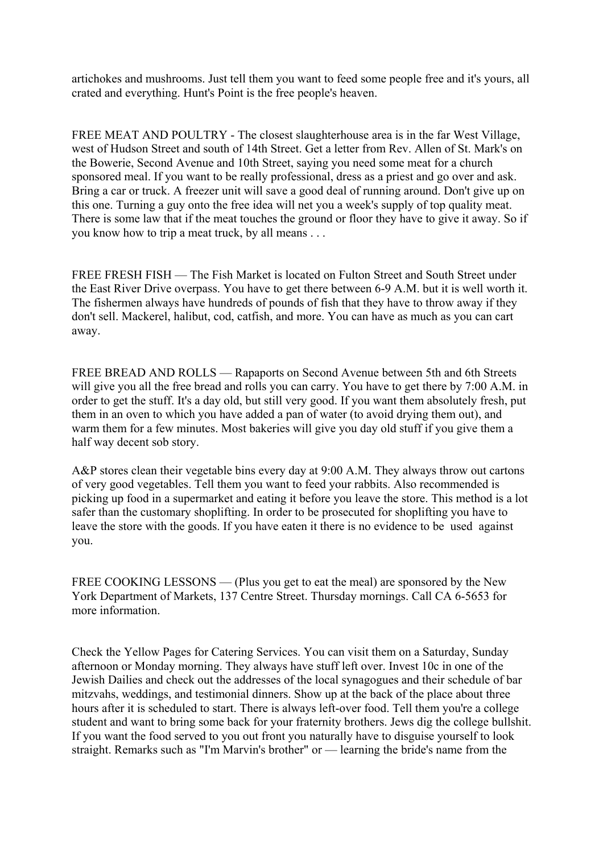artichokes and mushrooms. Just tell them you want to feed some people free and it's yours, all crated and everything. Hunt's Point is the free people's heaven.

FREE MEAT AND POULTRY - The closest slaughterhouse area is in the far West Village, west of Hudson Street and south of 14th Street. Get a letter from Rev. Allen of St. Mark's on the Bowerie, Second Avenue and 10th Street, saying you need some meat for a church sponsored meal. If you want to be really professional, dress as a priest and go over and ask. Bring a car or truck. A freezer unit will save a good deal of running around. Don't give up on this one. Turning a guy onto the free idea will net you a week's supply of top quality meat. There is some law that if the meat touches the ground or floor they have to give it away. So if you know how to trip a meat truck, by all means . . .

FREE FRESH FISH — The Fish Market is located on Fulton Street and South Street under the East River Drive overpass. You have to get there between 6-9 A.M. but it is well worth it. The fishermen always have hundreds of pounds of fish that they have to throw away if they don't sell. Mackerel, halibut, cod, catfish, and more. You can have as much as you can cart away.

FREE BREAD AND ROLLS — Rapaports on Second Avenue between 5th and 6th Streets will give you all the free bread and rolls you can carry. You have to get there by 7:00 A.M. in order to get the stuff. It's a day old, but still very good. If you want them absolutely fresh, put them in an oven to which you have added a pan of water (to avoid drying them out), and warm them for a few minutes. Most bakeries will give you day old stuff if you give them a half way decent sob story.

A&P stores clean their vegetable bins every day at 9:00 A.M. They always throw out cartons of very good vegetables. Tell them you want to feed your rabbits. Also recommended is picking up food in a supermarket and eating it before you leave the store. This method is a lot safer than the customary shoplifting. In order to be prosecuted for shoplifting you have to leave the store with the goods. If you have eaten it there is no evidence to be used against you.

FREE COOKING LESSONS — (Plus you get to eat the meal) are sponsored by the New York Department of Markets, 137 Centre Street. Thursday mornings. Call CA 6-5653 for more information.

Check the Yellow Pages for Catering Services. You can visit them on a Saturday, Sunday afternoon or Monday morning. They always have stuff left over. Invest 10c in one of the Jewish Dailies and check out the addresses of the local synagogues and their schedule of bar mitzvahs, weddings, and testimonial dinners. Show up at the back of the place about three hours after it is scheduled to start. There is always left-over food. Tell them you're a college student and want to bring some back for your fraternity brothers. Jews dig the college bullshit. If you want the food served to you out front you naturally have to disguise yourself to look straight. Remarks such as "I'm Marvin's brother" or — learning the bride's name from the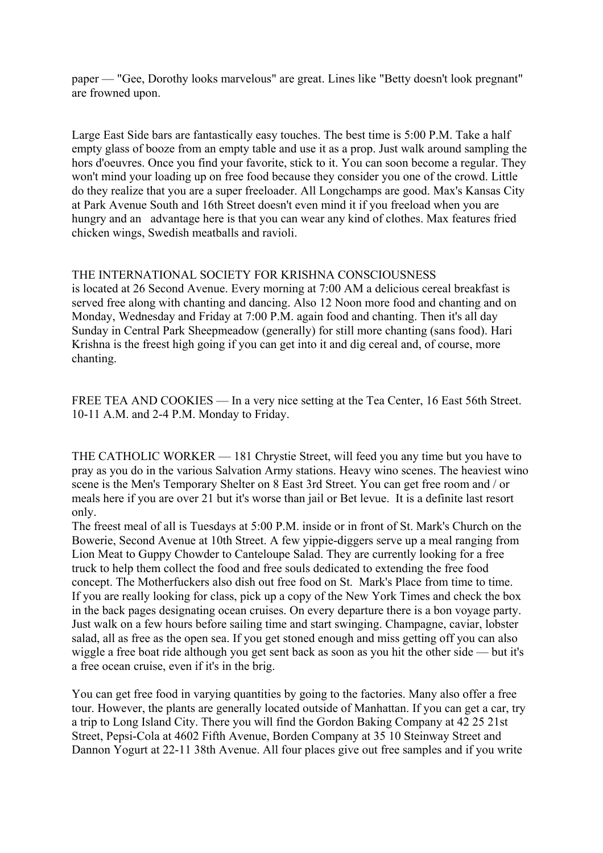paper — "Gee, Dorothy looks marvelous" are great. Lines like "Betty doesn't look pregnant" are frowned upon.

Large East Side bars are fantastically easy touches. The best time is 5:00 P.M. Take a half empty glass of booze from an empty table and use it as a prop. Just walk around sampling the hors d'oeuvres. Once you find your favorite, stick to it. You can soon become a regular. They won't mind your loading up on free food because they consider you one of the crowd. Little do they realize that you are a super freeloader. All Longchamps are good. Max's Kansas City at Park Avenue South and 16th Street doesn't even mind it if you freeload when you are hungry and an advantage here is that you can wear any kind of clothes. Max features fried chicken wings, Swedish meatballs and ravioli.

## THE INTERNATIONAL SOCIETY FOR KRISHNA CONSCIOUSNESS

is located at 26 Second Avenue. Every morning at 7:00 AM a delicious cereal breakfast is served free along with chanting and dancing. Also 12 Noon more food and chanting and on Monday, Wednesday and Friday at 7:00 P.M. again food and chanting. Then it's all day Sunday in Central Park Sheepmeadow (generally) for still more chanting (sans food). Hari Krishna is the freest high going if you can get into it and dig cereal and, of course, more chanting.

FREE TEA AND COOKIES — In a very nice setting at the Tea Center, 16 East 56th Street. 10-11 A.M. and 2-4 P.M. Monday to Friday.

THE CATHOLIC WORKER — 181 Chrystie Street, will feed you any time but you have to pray as you do in the various Salvation Army stations. Heavy wino scenes. The heaviest wino scene is the Men's Temporary Shelter on 8 East 3rd Street. You can get free room and / or meals here if you are over 21 but it's worse than jail or Bet levue. It is a definite last resort only.

The freest meal of all is Tuesdays at 5:00 P.M. inside or in front of St. Mark's Church on the Bowerie, Second Avenue at 10th Street. A few yippie-diggers serve up a meal ranging from Lion Meat to Guppy Chowder to Canteloupe Salad. They are currently looking for a free truck to help them collect the food and free souls dedicated to extending the free food concept. The Motherfuckers also dish out free food on St. Mark's Place from time to time. If you are really looking for class, pick up a copy of the New York Times and check the box in the back pages designating ocean cruises. On every departure there is a bon voyage party. Just walk on a few hours before sailing time and start swinging. Champagne, caviar, lobster salad, all as free as the open sea. If you get stoned enough and miss getting off you can also wiggle a free boat ride although you get sent back as soon as you hit the other side — but it's a free ocean cruise, even if it's in the brig.

You can get free food in varying quantities by going to the factories. Many also offer a free tour. However, the plants are generally located outside of Manhattan. If you can get a car, try a trip to Long Island City. There you will find the Gordon Baking Company at 42 25 21st Street, Pepsi-Cola at 4602 Fifth Avenue, Borden Company at 35 10 Steinway Street and Dannon Yogurt at 22-11 38th Avenue. All four places give out free samples and if you write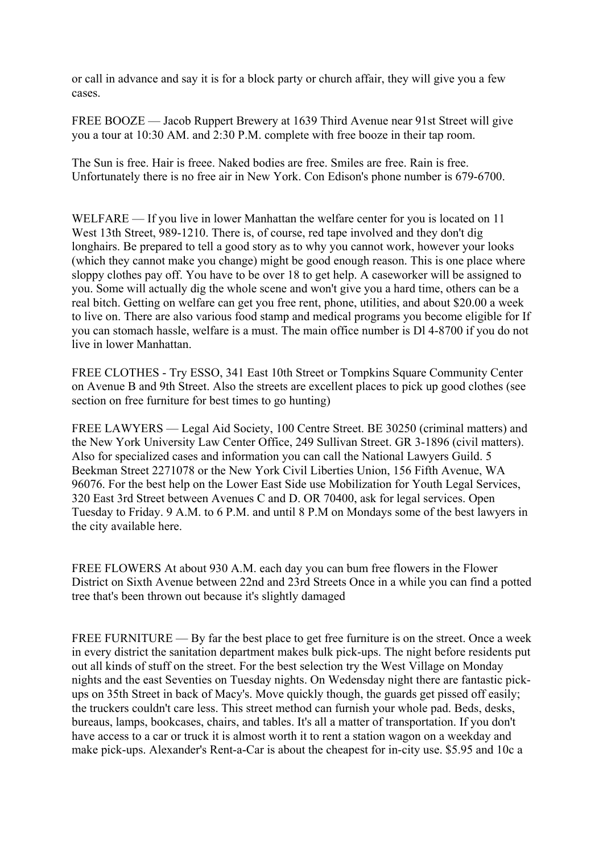or call in advance and say it is for a block party or church affair, they will give you a few cases.

FREE BOOZE — Jacob Ruppert Brewery at 1639 Third Avenue near 91st Street will give you a tour at 10:30 AM. and 2:30 P.M. complete with free booze in their tap room.

The Sun is free. Hair is freee. Naked bodies are free. Smiles are free. Rain is free. Unfortunately there is no free air in New York. Con Edison's phone number is 679-6700.

WELFARE — If you live in lower Manhattan the welfare center for you is located on 11 West 13th Street, 989-1210. There is, of course, red tape involved and they don't dig longhairs. Be prepared to tell a good story as to why you cannot work, however your looks (which they cannot make you change) might be good enough reason. This is one place where sloppy clothes pay off. You have to be over 18 to get help. A caseworker will be assigned to you. Some will actually dig the whole scene and won't give you a hard time, others can be a real bitch. Getting on welfare can get you free rent, phone, utilities, and about \$20.00 a week to live on. There are also various food stamp and medical programs you become eligible for If you can stomach hassle, welfare is a must. The main office number is Dl 4-8700 if you do not live in lower Manhattan.

FREE CLOTHES - Try ESSO, 341 East 10th Street or Tompkins Square Community Center on Avenue B and 9th Street. Also the streets are excellent places to pick up good clothes (see section on free furniture for best times to go hunting)

FREE LAWYERS — Legal Aid Society, 100 Centre Street. BE 30250 (criminal matters) and the New York University Law Center Office, 249 Sullivan Street. GR 3-1896 (civil matters). Also for specialized cases and information you can call the National Lawyers Guild. 5 Beekman Street 2271078 or the New York Civil Liberties Union, 156 Fifth Avenue, WA 96076. For the best help on the Lower East Side use Mobilization for Youth Legal Services, 320 East 3rd Street between Avenues C and D. OR 70400, ask for legal services. Open Tuesday to Friday. 9 A.M. to 6 P.M. and until 8 P.M on Mondays some of the best lawyers in the city available here.

FREE FLOWERS At about 930 A.M. each day you can bum free flowers in the Flower District on Sixth Avenue between 22nd and 23rd Streets Once in a while you can find a potted tree that's been thrown out because it's slightly damaged

FREE FURNITURE — By far the best place to get free furniture is on the street. Once a week in every district the sanitation department makes bulk pick-ups. The night before residents put out all kinds of stuff on the street. For the best selection try the West Village on Monday nights and the east Seventies on Tuesday nights. On Wedensday night there are fantastic pickups on 35th Street in back of Macy's. Move quickly though, the guards get pissed off easily; the truckers couldn't care less. This street method can furnish your whole pad. Beds, desks, bureaus, lamps, bookcases, chairs, and tables. It's all a matter of transportation. If you don't have access to a car or truck it is almost worth it to rent a station wagon on a weekday and make pick-ups. Alexander's Rent-a-Car is about the cheapest for in-city use. \$5.95 and 10c a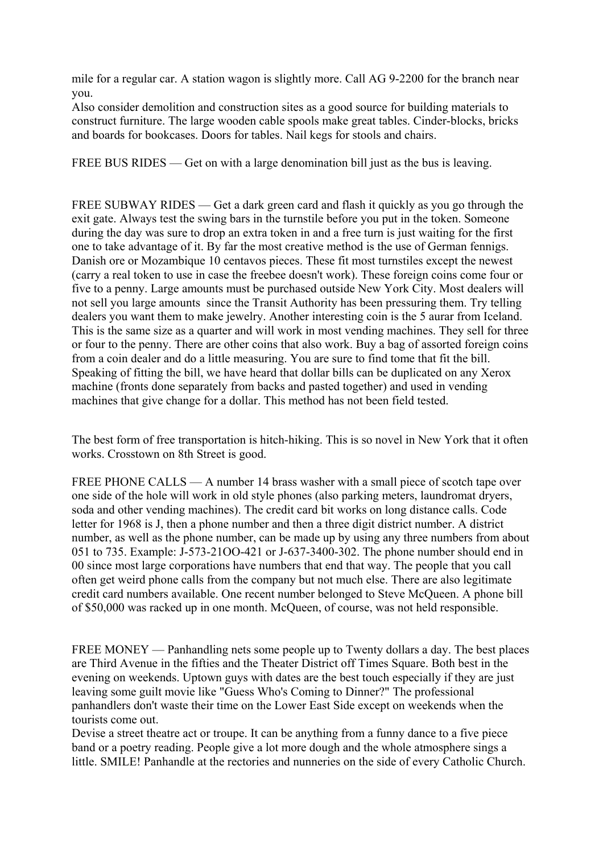mile for a regular car. A station wagon is slightly more. Call AG 9-2200 for the branch near you.

Also consider demolition and construction sites as a good source for building materials to construct furniture. The large wooden cable spools make great tables. Cinder-blocks, bricks and boards for bookcases. Doors for tables. Nail kegs for stools and chairs.

FREE BUS RIDES — Get on with a large denomination bill just as the bus is leaving.

FREE SUBWAY RIDES — Get a dark green card and flash it quickly as you go through the exit gate. Always test the swing bars in the turnstile before you put in the token. Someone during the day was sure to drop an extra token in and a free turn is just waiting for the first one to take advantage of it. By far the most creative method is the use of German fennigs. Danish ore or Mozambique 10 centavos pieces. These fit most turnstiles except the newest (carry a real token to use in case the freebee doesn't work). These foreign coins come four or five to a penny. Large amounts must be purchased outside New York City. Most dealers will not sell you large amounts since the Transit Authority has been pressuring them. Try telling dealers you want them to make jewelry. Another interesting coin is the 5 aurar from Iceland. This is the same size as a quarter and will work in most vending machines. They sell for three or four to the penny. There are other coins that also work. Buy a bag of assorted foreign coins from a coin dealer and do a little measuring. You are sure to find tome that fit the bill. Speaking of fitting the bill, we have heard that dollar bills can be duplicated on any Xerox machine (fronts done separately from backs and pasted together) and used in vending machines that give change for a dollar. This method has not been field tested.

The best form of free transportation is hitch-hiking. This is so novel in New York that it often works. Crosstown on 8th Street is good.

FREE PHONE CALLS — A number 14 brass washer with a small piece of scotch tape over one side of the hole will work in old style phones (also parking meters, laundromat dryers, soda and other vending machines). The credit card bit works on long distance calls. Code letter for 1968 is J, then a phone number and then a three digit district number. A district number, as well as the phone number, can be made up by using any three numbers from about 051 to 735. Example: J-573-21OO-421 or J-637-3400-302. The phone number should end in 00 since most large corporations have numbers that end that way. The people that you call often get weird phone calls from the company but not much else. There are also legitimate credit card numbers available. One recent number belonged to Steve McQueen. A phone bill of \$50,000 was racked up in one month. McQueen, of course, was not held responsible.

FREE MONEY — Panhandling nets some people up to Twenty dollars a day. The best places are Third Avenue in the fifties and the Theater District off Times Square. Both best in the evening on weekends. Uptown guys with dates are the best touch especially if they are just leaving some guilt movie like "Guess Who's Coming to Dinner?" The professional panhandlers don't waste their time on the Lower East Side except on weekends when the tourists come out.

Devise a street theatre act or troupe. It can be anything from a funny dance to a five piece band or a poetry reading. People give a lot more dough and the whole atmosphere sings a little. SMILE! Panhandle at the rectories and nunneries on the side of every Catholic Church.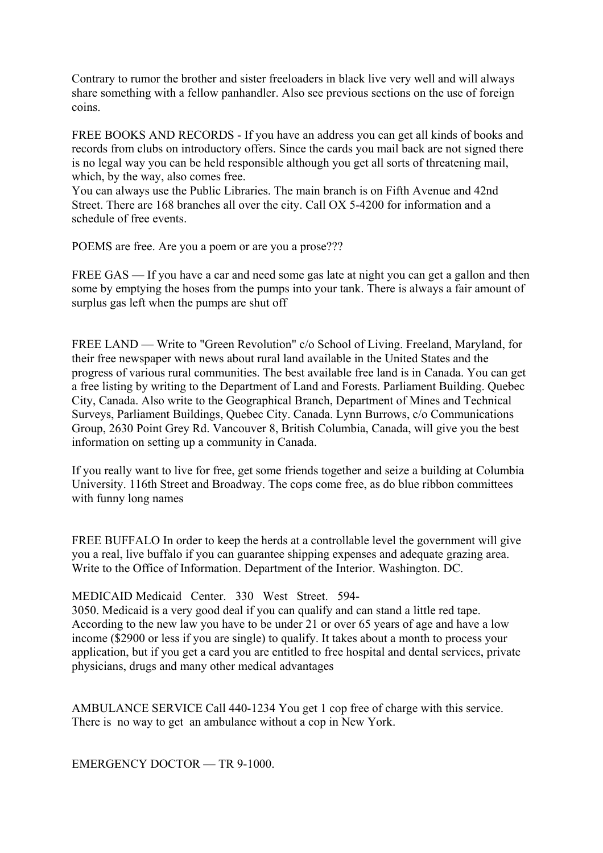Contrary to rumor the brother and sister freeloaders in black live very well and will always share something with a fellow panhandler. Also see previous sections on the use of foreign coins.

FREE BOOKS AND RECORDS - If you have an address you can get all kinds of books and records from clubs on introductory offers. Since the cards you mail back are not signed there is no legal way you can be held responsible although you get all sorts of threatening mail, which, by the way, also comes free.

You can always use the Public Libraries. The main branch is on Fifth Avenue and 42nd Street. There are 168 branches all over the city. Call OX 5-4200 for information and a schedule of free events.

POEMS are free. Are you a poem or are you a prose???

FREE GAS — If you have a car and need some gas late at night you can get a gallon and then some by emptying the hoses from the pumps into your tank. There is always a fair amount of surplus gas left when the pumps are shut off

FREE LAND — Write to "Green Revolution" c/o School of Living. Freeland, Maryland, for their free newspaper with news about rural land available in the United States and the progress of various rural communities. The best available free land is in Canada. You can get a free listing by writing to the Department of Land and Forests. Parliament Building. Quebec City, Canada. Also write to the Geographical Branch, Department of Mines and Technical Surveys, Parliament Buildings, Quebec City. Canada. Lynn Burrows, c/o Communications Group, 2630 Point Grey Rd. Vancouver 8, British Columbia, Canada, will give you the best information on setting up a community in Canada.

If you really want to live for free, get some friends together and seize a building at Columbia University. 116th Street and Broadway. The cops come free, as do blue ribbon committees with funny long names

FREE BUFFALO In order to keep the herds at a controllable level the government will give you a real, live buffalo if you can guarantee shipping expenses and adequate grazing area. Write to the Office of Information. Department of the Interior. Washington. DC.

MEDICAID Medicaid Center. 330 West Street. 594-

3050. Medicaid is a very good deal if you can qualify and can stand a little red tape. According to the new law you have to be under 21 or over 65 years of age and have a low income (\$2900 or less if you are single) to qualify. It takes about a month to process your application, but if you get a card you are entitled to free hospital and dental services, private physicians, drugs and many other medical advantages

AMBULANCE SERVICE Call 440-1234 You get 1 cop free of charge with this service. There is no way to get an ambulance without a cop in New York.

EMERGENCY DOCTOR — TR 9-1000.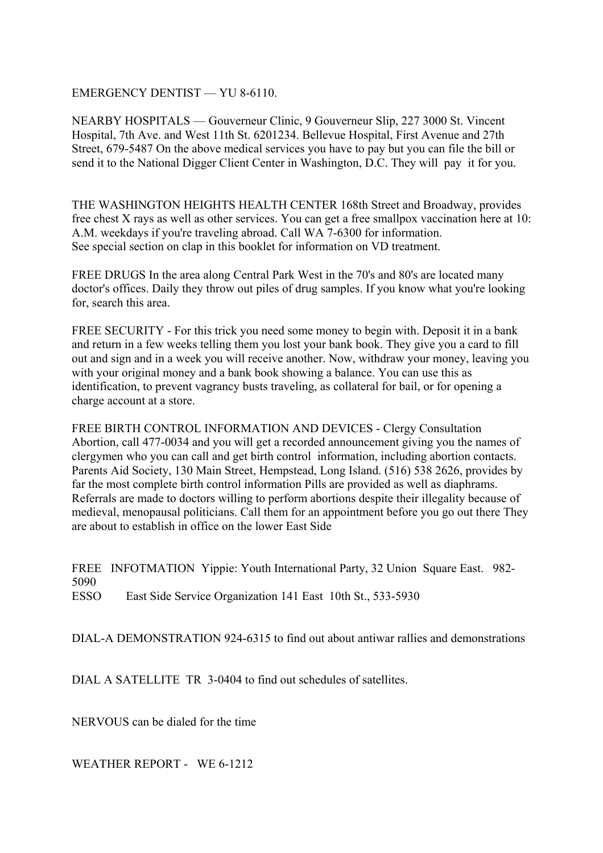# EMERGENCY DENTIST — YU 8-6110.

NEARBY HOSPITALS — Gouverneur Clinic, 9 Gouverneur Slip, 227 3000 St. Vincent Hospital, 7th Ave. and West 11th St. 6201234. Bellevue Hospital, First Avenue and 27th Street, 679-5487 On the above medical services you have to pay but you can file the bill or send it to the National Digger Client Center in Washington, D.C. They will pay it for you.

THE WASHINGTON HEIGHTS HEALTH CENTER 168th Street and Broadway, provides free chest X rays as well as other services. You can get a free smallpox vaccination here at 10: A.M. weekdays if you're traveling abroad. Call WA 7-6300 for information. See special section on clap in this booklet for information on VD treatment.

FREE DRUGS In the area along Central Park West in the 70's and 80's are located many doctor's offices. Daily they throw out piles of drug samples. If you know what you're looking for, search this area.

FREE SECURITY - For this trick you need some money to begin with. Deposit it in a bank and return in a few weeks telling them you lost your bank book. They give you a card to fill out and sign and in a week you will receive another. Now, withdraw your money, leaving you with your original money and a bank book showing a balance. You can use this as identification, to prevent vagrancy busts traveling, as collateral for bail, or for opening a charge account at a store.

FREE BIRTH CONTROL INFORMATION AND DEVICES - Clergy Consultation Abortion, call 477-0034 and you will get a recorded announcement giving you the names of clergymen who you can call and get birth control information, including abortion contacts. Parents Aid Society, 130 Main Street, Hempstead, Long Island. (516) 538 2626, provides by far the most complete birth control information Pills are provided as well as diaphrams. Referrals are made to doctors willing to perform abortions despite their illegality because of medieval, menopausal politicians. Call them for an appointment before you go out there They are about to establish in office on the lower East Side

FREE INFOTMATION Yippie: Youth International Party, 32 Union Square East. 982- 5090 ESSO East Side Service Organization 141 East 10th St., 533-5930

DIAL-A DEMONSTRATION 924-6315 to find out about antiwar rallies and demonstrations

DIAL A SATELLITE TR 3-0404 to find out schedules of satellites.

NERVOUS can be dialed for the time

WEATHER REPORT - WE 6-1212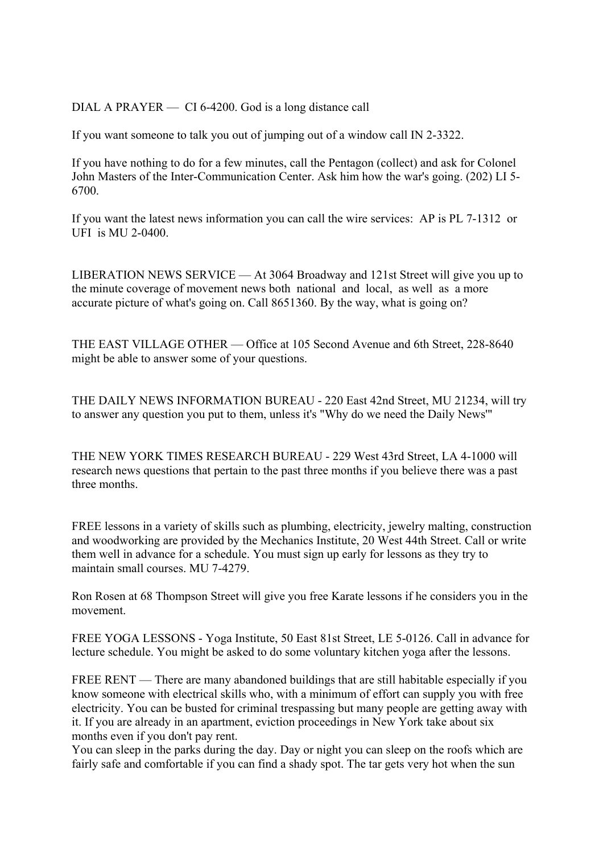DIAL A PRAYER — CI 6-4200. God is a long distance call

If you want someone to talk you out of jumping out of a window call IN 2-3322.

If you have nothing to do for a few minutes, call the Pentagon (collect) and ask for Colonel John Masters of the Inter-Communication Center. Ask him how the war's going. (202) LI 5- 6700.

If you want the latest news information you can call the wire services: AP is PL 7-1312 or UFI is MU 2-0400.

LIBERATION NEWS SERVICE — At 3064 Broadway and 121st Street will give you up to the minute coverage of movement news both national and local, as well as a more accurate picture of what's going on. Call 8651360. By the way, what is going on?

THE EAST VILLAGE OTHER — Office at 105 Second Avenue and 6th Street, 228-8640 might be able to answer some of your questions.

THE DAILY NEWS INFORMATION BUREAU - 220 East 42nd Street, MU 21234, will try to answer any question you put to them, unless it's "Why do we need the Daily News'"

THE NEW YORK TIMES RESEARCH BUREAU - 229 West 43rd Street, LA 4-1000 will research news questions that pertain to the past three months if you believe there was a past three months.

FREE lessons in a variety of skills such as plumbing, electricity, jewelry malting, construction and woodworking are provided by the Mechanics Institute, 20 West 44th Street. Call or write them well in advance for a schedule. You must sign up early for lessons as they try to maintain small courses. MU 7-4279.

Ron Rosen at 68 Thompson Street will give you free Karate lessons if he considers you in the movement.

FREE YOGA LESSONS - Yoga Institute, 50 East 81st Street, LE 5-0126. Call in advance for lecture schedule. You might be asked to do some voluntary kitchen yoga after the lessons.

FREE RENT — There are many abandoned buildings that are still habitable especially if you know someone with electrical skills who, with a minimum of effort can supply you with free electricity. You can be busted for criminal trespassing but many people are getting away with it. If you are already in an apartment, eviction proceedings in New York take about six months even if you don't pay rent.

You can sleep in the parks during the day. Day or night you can sleep on the roofs which are fairly safe and comfortable if you can find a shady spot. The tar gets very hot when the sun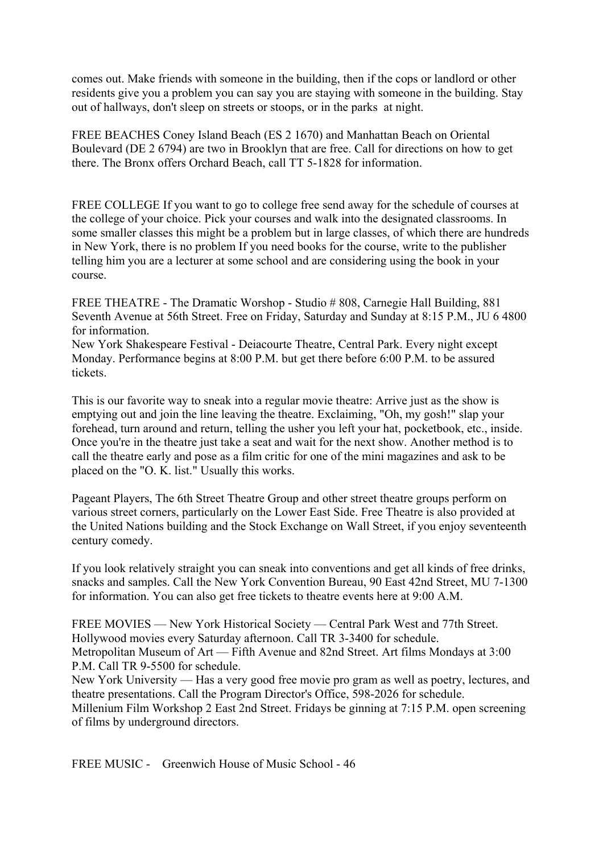comes out. Make friends with someone in the building, then if the cops or landlord or other residents give you a problem you can say you are staying with someone in the building. Stay out of hallways, don't sleep on streets or stoops, or in the parks at night.

FREE BEACHES Coney Island Beach (ES 2 1670) and Manhattan Beach on Oriental Boulevard (DE 2 6794) are two in Brooklyn that are free. Call for directions on how to get there. The Bronx offers Orchard Beach, call TT 5-1828 for information.

FREE COLLEGE If you want to go to college free send away for the schedule of courses at the college of your choice. Pick your courses and walk into the designated classrooms. In some smaller classes this might be a problem but in large classes, of which there are hundreds in New York, there is no problem If you need books for the course, write to the publisher telling him you are a lecturer at some school and are considering using the book in your course.

FREE THEATRE - The Dramatic Worshop - Studio # 808, Carnegie Hall Building, 881 Seventh Avenue at 56th Street. Free on Friday, Saturday and Sunday at 8:15 P.M., JU 6 4800 for information.

New York Shakespeare Festival - Deiacourte Theatre, Central Park. Every night except Monday. Performance begins at 8:00 P.M. but get there before 6:00 P.M. to be assured tickets.

This is our favorite way to sneak into a regular movie theatre: Arrive just as the show is emptying out and join the line leaving the theatre. Exclaiming, "Oh, my gosh!" slap your forehead, turn around and return, telling the usher you left your hat, pocketbook, etc., inside. Once you're in the theatre just take a seat and wait for the next show. Another method is to call the theatre early and pose as a film critic for one of the mini magazines and ask to be placed on the "O. K. list." Usually this works.

Pageant Players, The 6th Street Theatre Group and other street theatre groups perform on various street corners, particularly on the Lower East Side. Free Theatre is also provided at the United Nations building and the Stock Exchange on Wall Street, if you enjoy seventeenth century comedy.

If you look relatively straight you can sneak into conventions and get all kinds of free drinks, snacks and samples. Call the New York Convention Bureau, 90 East 42nd Street, MU 7-1300 for information. You can also get free tickets to theatre events here at 9:00 A.M.

FREE MOVIES — New York Historical Society — Central Park West and 77th Street. Hollywood movies every Saturday afternoon. Call TR 3-3400 for schedule. Metropolitan Museum of Art — Fifth Avenue and 82nd Street. Art films Mondays at 3:00 P.M. Call TR 9-5500 for schedule.

New York University — Has a very good free movie pro gram as well as poetry, lectures, and theatre presentations. Call the Program Director's Office, 598-2026 for schedule. Millenium Film Workshop 2 East 2nd Street. Fridays be ginning at 7:15 P.M. open screening of films by underground directors.

FREE MUSIC - Greenwich House of Music School - 46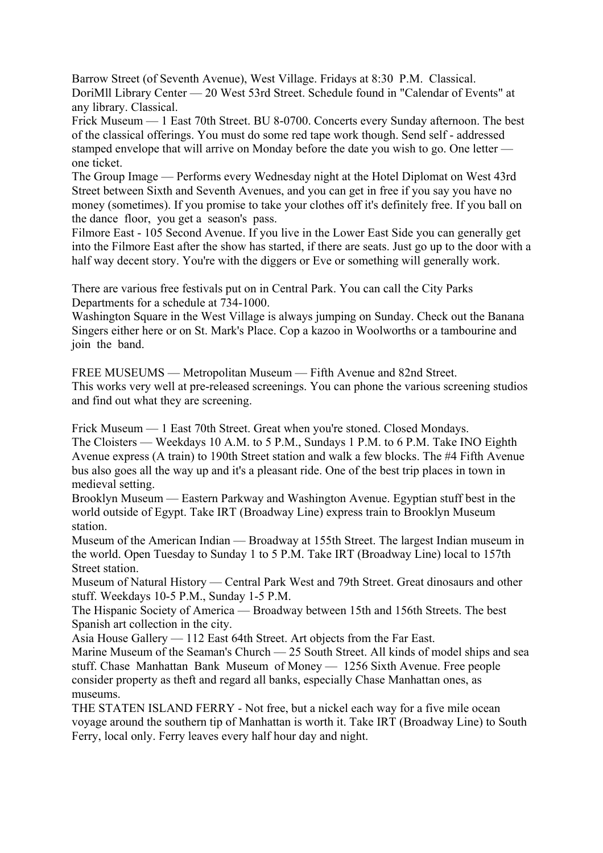Barrow Street (of Seventh Avenue), West Village. Fridays at 8:30 P.M. Classical. DoriMll Library Center — 20 West 53rd Street. Schedule found in "Calendar of Events" at any library. Classical.

Frick Museum — 1 East 70th Street. BU 8-0700. Concerts every Sunday afternoon. The best of the classical offerings. You must do some red tape work though. Send self - addressed stamped envelope that will arrive on Monday before the date you wish to go. One letter one ticket.

The Group Image — Performs every Wednesday night at the Hotel Diplomat on West 43rd Street between Sixth and Seventh Avenues, and you can get in free if you say you have no money (sometimes). If you promise to take your clothes off it's definitely free. If you ball on the dance floor, you get a season's pass.

Filmore East - 105 Second Avenue. If you live in the Lower East Side you can generally get into the Filmore East after the show has started, if there are seats. Just go up to the door with a half way decent story. You're with the diggers or Eve or something will generally work.

There are various free festivals put on in Central Park. You can call the City Parks Departments for a schedule at 734-1000.

Washington Square in the West Village is always jumping on Sunday. Check out the Banana Singers either here or on St. Mark's Place. Cop a kazoo in Woolworths or a tambourine and join the band.

FREE MUSEUMS — Metropolitan Museum — Fifth Avenue and 82nd Street. This works very well at pre-released screenings. You can phone the various screening studios and find out what they are screening.

Frick Museum — 1 East 70th Street. Great when you're stoned. Closed Mondays. The Cloisters — Weekdays 10 A.M. to 5 P.M., Sundays 1 P.M. to 6 P.M. Take INO Eighth Avenue express (A train) to 190th Street station and walk a few blocks. The #4 Fifth Avenue bus also goes all the way up and it's a pleasant ride. One of the best trip places in town in medieval setting.

Brooklyn Museum — Eastern Parkway and Washington Avenue. Egyptian stuff best in the world outside of Egypt. Take IRT (Broadway Line) express train to Brooklyn Museum station.

Museum of the American Indian — Broadway at 155th Street. The largest Indian museum in the world. Open Tuesday to Sunday 1 to 5 P.M. Take IRT (Broadway Line) local to 157th Street station.

Museum of Natural History — Central Park West and 79th Street. Great dinosaurs and other stuff. Weekdays 10-5 P.M., Sunday 1-5 P.M.

The Hispanic Society of America — Broadway between 15th and 156th Streets. The best Spanish art collection in the city.

Asia House Gallery — 112 East 64th Street. Art objects from the Far East.

Marine Museum of the Seaman's Church — 25 South Street. All kinds of model ships and sea stuff. Chase Manhattan Bank Museum of Money — 1256 Sixth Avenue. Free people consider property as theft and regard all banks, especially Chase Manhattan ones, as museums.

THE STATEN ISLAND FERRY - Not free, but a nickel each way for a five mile ocean voyage around the southern tip of Manhattan is worth it. Take IRT (Broadway Line) to South Ferry, local only. Ferry leaves every half hour day and night.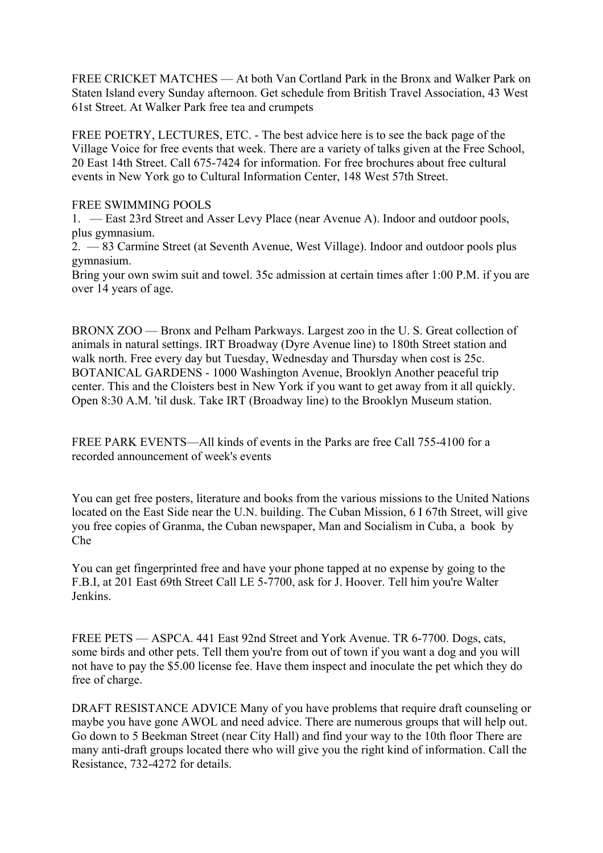FREE CRICKET MATCHES — At both Van Cortland Park in the Bronx and Walker Park on Staten Island every Sunday afternoon. Get schedule from British Travel Association, 43 West 61st Street. At Walker Park free tea and crumpets

FREE POETRY, LECTURES, ETC. - The best advice here is to see the back page of the Village Voice for free events that week. There are a variety of talks given at the Free School, 20 East 14th Street. Call 675-7424 for information. For free brochures about free cultural events in New York go to Cultural Information Center, 148 West 57th Street.

## FREE SWIMMING POOLS

1. — East 23rd Street and Asser Levy Place (near Avenue A). Indoor and outdoor pools, plus gymnasium.

2. — 83 Carmine Street (at Seventh Avenue, West Village). Indoor and outdoor pools plus gymnasium.

Bring your own swim suit and towel. 35c admission at certain times after 1:00 P.M. if you are over 14 years of age.

BRONX ZOO — Bronx and Pelham Parkways. Largest zoo in the U. S. Great collection of animals in natural settings. IRT Broadway (Dyre Avenue line) to 180th Street station and walk north. Free every day but Tuesday, Wednesday and Thursday when cost is 25c. BOTANICAL GARDENS - 1000 Washington Avenue, Brooklyn Another peaceful trip center. This and the Cloisters best in New York if you want to get away from it all quickly. Open 8:30 A.M. 'til dusk. Take IRT (Broadway line) to the Brooklyn Museum station.

FREE PARK EVENTS—All kinds of events in the Parks are free Call 755-4100 for a recorded announcement of week's events

You can get free posters, literature and books from the various missions to the United Nations located on the East Side near the U.N. building. The Cuban Mission, 6 I 67th Street, will give you free copies of Granma, the Cuban newspaper, Man and Socialism in Cuba, a book by Che

You can get fingerprinted free and have your phone tapped at no expense by going to the F.B.I, at 201 East 69th Street Call LE 5-7700, ask for J. Hoover. Tell him you're Walter Jenkins.

FREE PETS — ASPCA. 441 East 92nd Street and York Avenue. TR 6-7700. Dogs, cats, some birds and other pets. Tell them you're from out of town if you want a dog and you will not have to pay the \$5.00 license fee. Have them inspect and inoculate the pet which they do free of charge.

DRAFT RESISTANCE ADVICE Many of you have problems that require draft counseling or maybe you have gone AWOL and need advice. There are numerous groups that will help out. Go down to 5 Beekman Street (near City Hall) and find your way to the 10th floor There are many anti-draft groups located there who will give you the right kind of information. Call the Resistance, 732-4272 for details.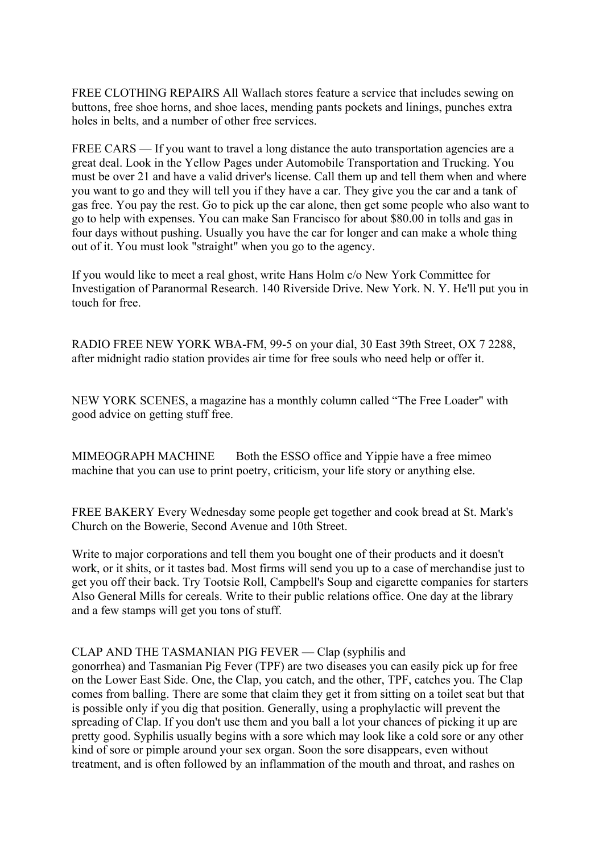FREE CLOTHING REPAIRS All Wallach stores feature a service that includes sewing on buttons, free shoe horns, and shoe laces, mending pants pockets and linings, punches extra holes in belts, and a number of other free services.

FREE CARS — If you want to travel a long distance the auto transportation agencies are a great deal. Look in the Yellow Pages under Automobile Transportation and Trucking. You must be over 21 and have a valid driver's license. Call them up and tell them when and where you want to go and they will tell you if they have a car. They give you the car and a tank of gas free. You pay the rest. Go to pick up the car alone, then get some people who also want to go to help with expenses. You can make San Francisco for about \$80.00 in tolls and gas in four days without pushing. Usually you have the car for longer and can make a whole thing out of it. You must look "straight" when you go to the agency.

If you would like to meet a real ghost, write Hans Holm c/o New York Committee for Investigation of Paranormal Research. 140 Riverside Drive. New York. N. Y. He'll put you in touch for free.

RADIO FREE NEW YORK WBA-FM, 99-5 on your dial, 30 East 39th Street, OX 7 2288, after midnight radio station provides air time for free souls who need help or offer it.

NEW YORK SCENES, a magazine has a monthly column called "The Free Loader" with good advice on getting stuff free.

MIMEOGRAPH MACHINE Both the ESSO office and Yippie have a free mimeo machine that you can use to print poetry, criticism, your life story or anything else.

FREE BAKERY Every Wednesday some people get together and cook bread at St. Mark's Church on the Bowerie, Second Avenue and 10th Street.

Write to major corporations and tell them you bought one of their products and it doesn't work, or it shits, or it tastes bad. Most firms will send you up to a case of merchandise just to get you off their back. Try Tootsie Roll, Campbell's Soup and cigarette companies for starters Also General Mills for cereals. Write to their public relations office. One day at the library and a few stamps will get you tons of stuff.

#### CLAP AND THE TASMANIAN PIG FEVER — Clap (syphilis and

gonorrhea) and Tasmanian Pig Fever (TPF) are two diseases you can easily pick up for free on the Lower East Side. One, the Clap, you catch, and the other, TPF, catches you. The Clap comes from balling. There are some that claim they get it from sitting on a toilet seat but that is possible only if you dig that position. Generally, using a prophylactic will prevent the spreading of Clap. If you don't use them and you ball a lot your chances of picking it up are pretty good. Syphilis usually begins with a sore which may look like a cold sore or any other kind of sore or pimple around your sex organ. Soon the sore disappears, even without treatment, and is often followed by an inflammation of the mouth and throat, and rashes on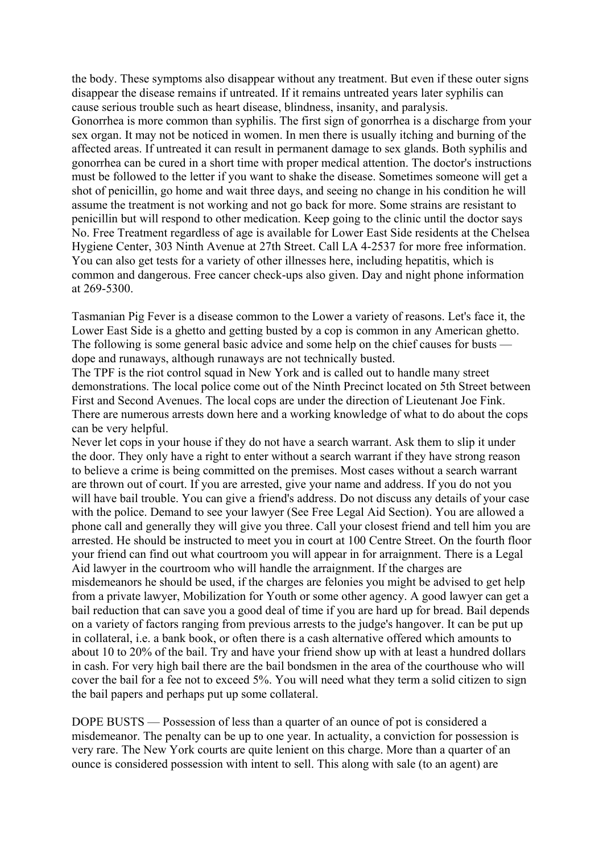the body. These symptoms also disappear without any treatment. But even if these outer signs disappear the disease remains if untreated. If it remains untreated years later syphilis can cause serious trouble such as heart disease, blindness, insanity, and paralysis. Gonorrhea is more common than syphilis. The first sign of gonorrhea is a discharge from your sex organ. It may not be noticed in women. In men there is usually itching and burning of the affected areas. If untreated it can result in permanent damage to sex glands. Both syphilis and gonorrhea can be cured in a short time with proper medical attention. The doctor's instructions must be followed to the letter if you want to shake the disease. Sometimes someone will get a shot of penicillin, go home and wait three days, and seeing no change in his condition he will assume the treatment is not working and not go back for more. Some strains are resistant to penicillin but will respond to other medication. Keep going to the clinic until the doctor says No. Free Treatment regardless of age is available for Lower East Side residents at the Chelsea Hygiene Center, 303 Ninth Avenue at 27th Street. Call LA 4-2537 for more free information. You can also get tests for a variety of other illnesses here, including hepatitis, which is common and dangerous. Free cancer check-ups also given. Day and night phone information at 269-5300.

Tasmanian Pig Fever is a disease common to the Lower a variety of reasons. Let's face it, the Lower East Side is a ghetto and getting busted by a cop is common in any American ghetto. The following is some general basic advice and some help on the chief causes for busts dope and runaways, although runaways are not technically busted.

The TPF is the riot control squad in New York and is called out to handle many street demonstrations. The local police come out of the Ninth Precinct located on 5th Street between First and Second Avenues. The local cops are under the direction of Lieutenant Joe Fink. There are numerous arrests down here and a working knowledge of what to do about the cops can be very helpful.

Never let cops in your house if they do not have a search warrant. Ask them to slip it under the door. They only have a right to enter without a search warrant if they have strong reason to believe a crime is being committed on the premises. Most cases without a search warrant are thrown out of court. If you are arrested, give your name and address. If you do not you will have bail trouble. You can give a friend's address. Do not discuss any details of your case with the police. Demand to see your lawyer (See Free Legal Aid Section). You are allowed a phone call and generally they will give you three. Call your closest friend and tell him you are arrested. He should be instructed to meet you in court at 100 Centre Street. On the fourth floor your friend can find out what courtroom you will appear in for arraignment. There is a Legal Aid lawyer in the courtroom who will handle the arraignment. If the charges are misdemeanors he should be used, if the charges are felonies you might be advised to get help from a private lawyer, Mobilization for Youth or some other agency. A good lawyer can get a bail reduction that can save you a good deal of time if you are hard up for bread. Bail depends on a variety of factors ranging from previous arrests to the judge's hangover. It can be put up in collateral, i.e. a bank book, or often there is a cash alternative offered which amounts to about 10 to 20% of the bail. Try and have your friend show up with at least a hundred dollars in cash. For very high bail there are the bail bondsmen in the area of the courthouse who will cover the bail for a fee not to exceed 5%. You will need what they term a solid citizen to sign the bail papers and perhaps put up some collateral.

DOPE BUSTS — Possession of less than a quarter of an ounce of pot is considered a misdemeanor. The penalty can be up to one year. In actuality, a conviction for possession is very rare. The New York courts are quite lenient on this charge. More than a quarter of an ounce is considered possession with intent to sell. This along with sale (to an agent) are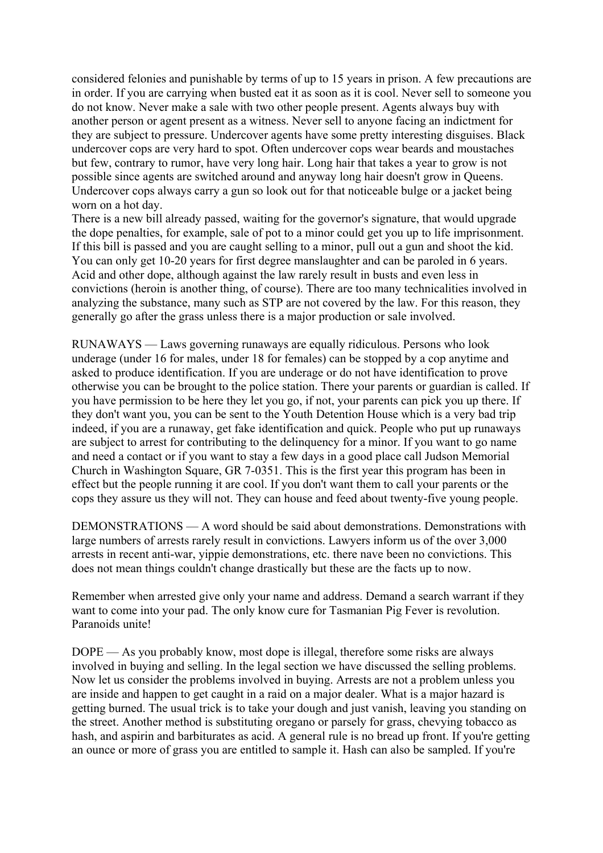considered felonies and punishable by terms of up to 15 years in prison. A few precautions are in order. If you are carrying when busted eat it as soon as it is cool. Never sell to someone you do not know. Never make a sale with two other people present. Agents always buy with another person or agent present as a witness. Never sell to anyone facing an indictment for they are subject to pressure. Undercover agents have some pretty interesting disguises. Black undercover cops are very hard to spot. Often undercover cops wear beards and moustaches but few, contrary to rumor, have very long hair. Long hair that takes a year to grow is not possible since agents are switched around and anyway long hair doesn't grow in Queens. Undercover cops always carry a gun so look out for that noticeable bulge or a jacket being worn on a hot day.

There is a new bill already passed, waiting for the governor's signature, that would upgrade the dope penalties, for example, sale of pot to a minor could get you up to life imprisonment. If this bill is passed and you are caught selling to a minor, pull out a gun and shoot the kid. You can only get 10-20 years for first degree manslaughter and can be paroled in 6 years. Acid and other dope, although against the law rarely result in busts and even less in convictions (heroin is another thing, of course). There are too many technicalities involved in analyzing the substance, many such as STP are not covered by the law. For this reason, they generally go after the grass unless there is a major production or sale involved.

RUNAWAYS — Laws governing runaways are equally ridiculous. Persons who look underage (under 16 for males, under 18 for females) can be stopped by a cop anytime and asked to produce identification. If you are underage or do not have identification to prove otherwise you can be brought to the police station. There your parents or guardian is called. If you have permission to be here they let you go, if not, your parents can pick you up there. If they don't want you, you can be sent to the Youth Detention House which is a very bad trip indeed, if you are a runaway, get fake identification and quick. People who put up runaways are subject to arrest for contributing to the delinquency for a minor. If you want to go name and need a contact or if you want to stay a few days in a good place call Judson Memorial Church in Washington Square, GR 7-0351. This is the first year this program has been in effect but the people running it are cool. If you don't want them to call your parents or the cops they assure us they will not. They can house and feed about twenty-five young people.

DEMONSTRATIONS — A word should be said about demonstrations. Demonstrations with large numbers of arrests rarely result in convictions. Lawyers inform us of the over 3,000 arrests in recent anti-war, yippie demonstrations, etc. there nave been no convictions. This does not mean things couldn't change drastically but these are the facts up to now.

Remember when arrested give only your name and address. Demand a search warrant if they want to come into your pad. The only know cure for Tasmanian Pig Fever is revolution. Paranoids unite!

DOPE — As you probably know, most dope is illegal, therefore some risks are always involved in buying and selling. In the legal section we have discussed the selling problems. Now let us consider the problems involved in buying. Arrests are not a problem unless you are inside and happen to get caught in a raid on a major dealer. What is a major hazard is getting burned. The usual trick is to take your dough and just vanish, leaving you standing on the street. Another method is substituting oregano or parsely for grass, chevying tobacco as hash, and aspirin and barbiturates as acid. A general rule is no bread up front. If you're getting an ounce or more of grass you are entitled to sample it. Hash can also be sampled. If you're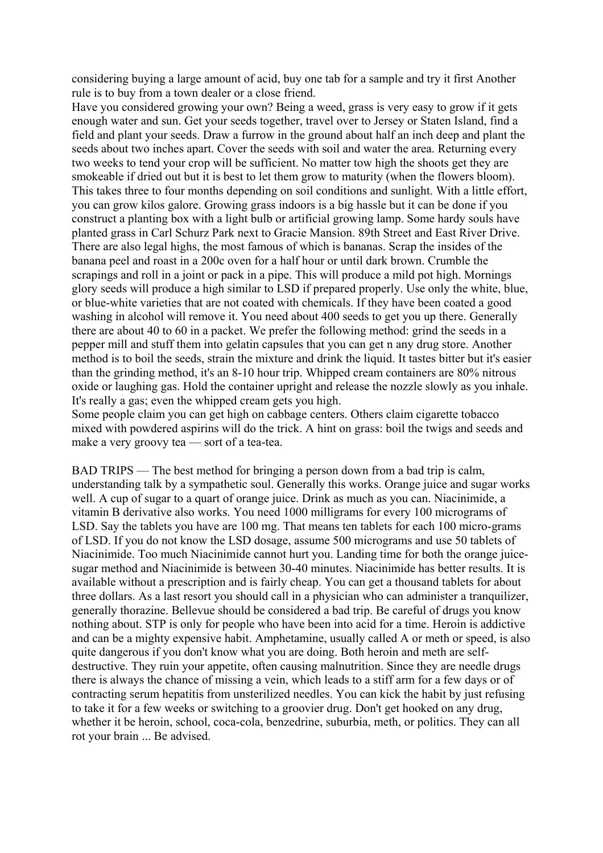considering buying a large amount of acid, buy one tab for a sample and try it first Another rule is to buy from a town dealer or a close friend.

Have you considered growing your own? Being a weed, grass is very easy to grow if it gets enough water and sun. Get your seeds together, travel over to Jersey or Staten Island, find a field and plant your seeds. Draw a furrow in the ground about half an inch deep and plant the seeds about two inches apart. Cover the seeds with soil and water the area. Returning every two weeks to tend your crop will be sufficient. No matter tow high the shoots get they are smokeable if dried out but it is best to let them grow to maturity (when the flowers bloom). This takes three to four months depending on soil conditions and sunlight. With a little effort, you can grow kilos galore. Growing grass indoors is a big hassle but it can be done if you construct a planting box with a light bulb or artificial growing lamp. Some hardy souls have planted grass in Carl Schurz Park next to Gracie Mansion. 89th Street and East River Drive. There are also legal highs, the most famous of which is bananas. Scrap the insides of the banana peel and roast in a 200c oven for a half hour or until dark brown. Crumble the scrapings and roll in a joint or pack in a pipe. This will produce a mild pot high. Mornings glory seeds will produce a high similar to LSD if prepared properly. Use only the white, blue, or blue-white varieties that are not coated with chemicals. If they have been coated a good washing in alcohol will remove it. You need about 400 seeds to get you up there. Generally there are about 40 to 60 in a packet. We prefer the following method: grind the seeds in a pepper mill and stuff them into gelatin capsules that you can get n any drug store. Another method is to boil the seeds, strain the mixture and drink the liquid. It tastes bitter but it's easier than the grinding method, it's an 8-10 hour trip. Whipped cream containers are 80% nitrous oxide or laughing gas. Hold the container upright and release the nozzle slowly as you inhale. It's really a gas; even the whipped cream gets you high.

Some people claim you can get high on cabbage centers. Others claim cigarette tobacco mixed with powdered aspirins will do the trick. A hint on grass: boil the twigs and seeds and make a very groovy tea — sort of a tea-tea.

BAD TRIPS — The best method for bringing a person down from a bad trip is calm, understanding talk by a sympathetic soul. Generally this works. Orange juice and sugar works well. A cup of sugar to a quart of orange juice. Drink as much as you can. Niacinimide, a vitamin B derivative also works. You need 1000 milligrams for every 100 micrograms of LSD. Say the tablets you have are 100 mg. That means ten tablets for each 100 micro-grams of LSD. If you do not know the LSD dosage, assume 500 micrograms and use 50 tablets of Niacinimide. Too much Niacinimide cannot hurt you. Landing time for both the orange juicesugar method and Niacinimide is between 30-40 minutes. Niacinimide has better results. It is available without a prescription and is fairly cheap. You can get a thousand tablets for about three dollars. As a last resort you should call in a physician who can administer a tranquilizer, generally thorazine. Bellevue should be considered a bad trip. Be careful of drugs you know nothing about. STP is only for people who have been into acid for a time. Heroin is addictive and can be a mighty expensive habit. Amphetamine, usually called A or meth or speed, is also quite dangerous if you don't know what you are doing. Both heroin and meth are selfdestructive. They ruin your appetite, often causing malnutrition. Since they are needle drugs there is always the chance of missing a vein, which leads to a stiff arm for a few days or of contracting serum hepatitis from unsterilized needles. You can kick the habit by just refusing to take it for a few weeks or switching to a groovier drug. Don't get hooked on any drug, whether it be heroin, school, coca-cola, benzedrine, suburbia, meth, or politics. They can all rot your brain ... Be advised.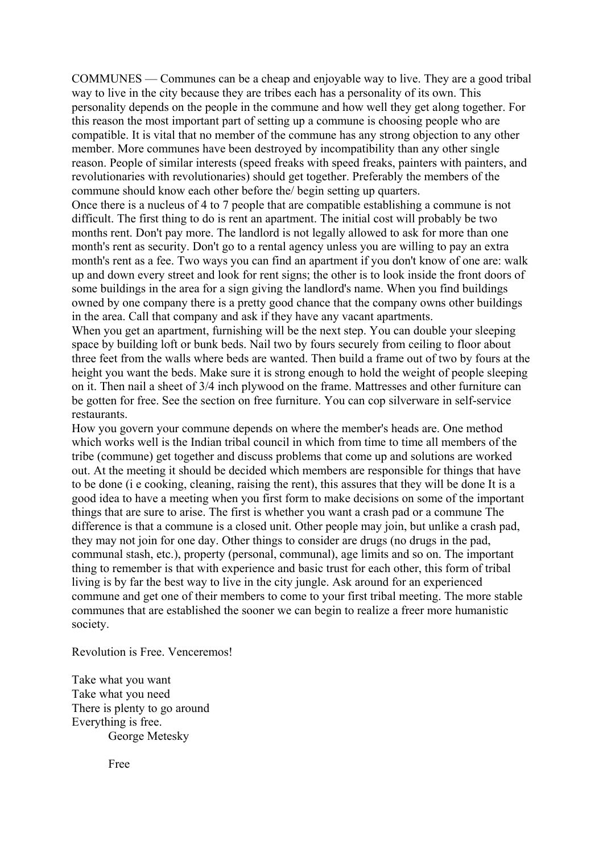COMMUNES — Communes can be a cheap and enjoyable way to live. They are a good tribal way to live in the city because they are tribes each has a personality of its own. This personality depends on the people in the commune and how well they get along together. For this reason the most important part of setting up a commune is choosing people who are compatible. It is vital that no member of the commune has any strong objection to any other member. More communes have been destroyed by incompatibility than any other single reason. People of similar interests (speed freaks with speed freaks, painters with painters, and revolutionaries with revolutionaries) should get together. Preferably the members of the commune should know each other before the/ begin setting up quarters.

Once there is a nucleus of 4 to 7 people that are compatible establishing a commune is not difficult. The first thing to do is rent an apartment. The initial cost will probably be two months rent. Don't pay more. The landlord is not legally allowed to ask for more than one month's rent as security. Don't go to a rental agency unless you are willing to pay an extra month's rent as a fee. Two ways you can find an apartment if you don't know of one are: walk up and down every street and look for rent signs; the other is to look inside the front doors of some buildings in the area for a sign giving the landlord's name. When you find buildings owned by one company there is a pretty good chance that the company owns other buildings in the area. Call that company and ask if they have any vacant apartments.

When you get an apartment, furnishing will be the next step. You can double your sleeping space by building loft or bunk beds. Nail two by fours securely from ceiling to floor about three feet from the walls where beds are wanted. Then build a frame out of two by fours at the height you want the beds. Make sure it is strong enough to hold the weight of people sleeping on it. Then nail a sheet of 3/4 inch plywood on the frame. Mattresses and other furniture can be gotten for free. See the section on free furniture. You can cop silverware in self-service restaurants.

How you govern your commune depends on where the member's heads are. One method which works well is the Indian tribal council in which from time to time all members of the tribe (commune) get together and discuss problems that come up and solutions are worked out. At the meeting it should be decided which members are responsible for things that have to be done (i e cooking, cleaning, raising the rent), this assures that they will be done It is a good idea to have a meeting when you first form to make decisions on some of the important things that are sure to arise. The first is whether you want a crash pad or a commune The difference is that a commune is a closed unit. Other people may join, but unlike a crash pad, they may not join for one day. Other things to consider are drugs (no drugs in the pad, communal stash, etc.), property (personal, communal), age limits and so on. The important thing to remember is that with experience and basic trust for each other, this form of tribal living is by far the best way to live in the city jungle. Ask around for an experienced commune and get one of their members to come to your first tribal meeting. The more stable communes that are established the sooner we can begin to realize a freer more humanistic society.

Revolution is Free. Venceremos!

Take what you want Take what you need There is plenty to go around Everything is free. George Metesky

Free